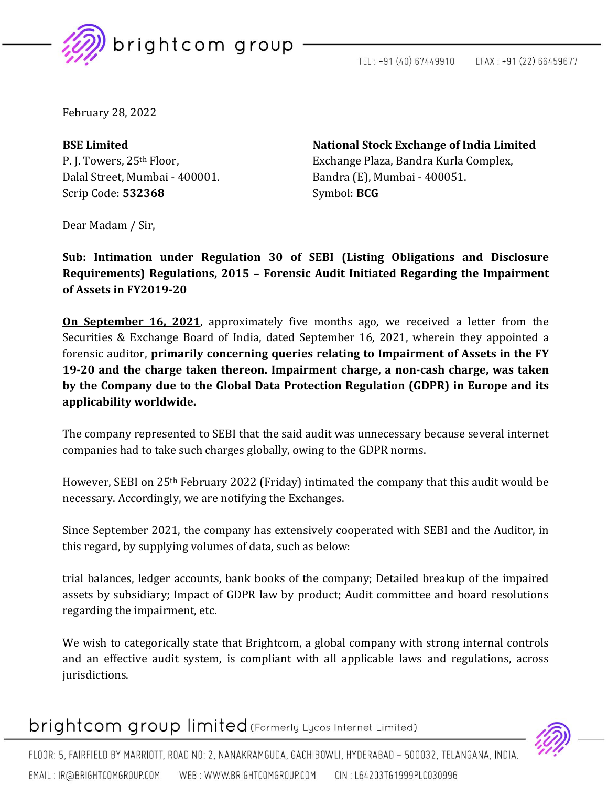

TEL: +91 (40) 67449910 EFAX: +91 (22) 66459677

February 28, 2022

Dalal Street, Mumbai - 400001. Bandra (E), Mumbai - 400051. Scrip Code: **532368** Symbol: **BCG** 

**BSE Limited National Stock Exchange of India Limited** P. J. Towers, 25<sup>th</sup> Floor, Exchange Plaza, Bandra Kurla Complex,

Dear Madam / Sir,

**Sub: Intimation under Regulation 30 of SEBI (Listing Obligations and Disclosure Requirements) Regulations, 2015 – Forensic Audit Initiated Regarding the Impairment of Assets in FY2019-20**

**On September 16, 2021**, approximately five months ago, we received a letter from the Securities & Exchange Board of India, dated September 16, 2021, wherein they appointed a forensic auditor, **primarily concerning queries relating to Impairment of Assets in the FY 19-20 and the charge taken thereon. Impairment charge, a non-cash charge, was taken by the Company due to the Global Data Protection Regulation (GDPR) in Europe and its applicability worldwide.**

The company represented to SEBI that the said audit was unnecessary because several internet companies had to take such charges globally, owing to the GDPR norms.

However, SEBI on 25th February 2022 (Friday) intimated the company that this audit would be necessary. Accordingly, we are notifying the Exchanges.

Since September 2021, the company has extensively cooperated with SEBI and the Auditor, in this regard, by supplying volumes of data, such as below:

trial balances, ledger accounts, bank books of the company; Detailed breakup of the impaired assets by subsidiary; Impact of GDPR law by product; Audit committee and board resolutions regarding the impairment, etc.

We wish to categorically state that Brightcom, a global company with strong internal controls and an effective audit system, is compliant with all applicable laws and regulations, across jurisdictions.

brightcom group limited (Formerly Lycos Internet Limited)



FLOOR: 5, FAIRFIELD BY MARRIOTT, ROAD NO: 2, NANAKRAMGUDA, GACHIBOWLI, HYDERABAD - 500032, TELANGANA, INDIA. WEB: WWW.BRIGHTCOMGROUP.COM CIN: L64203TG1999PLC030996 EMAIL: IR@BRIGHTCOMGROUP.COM